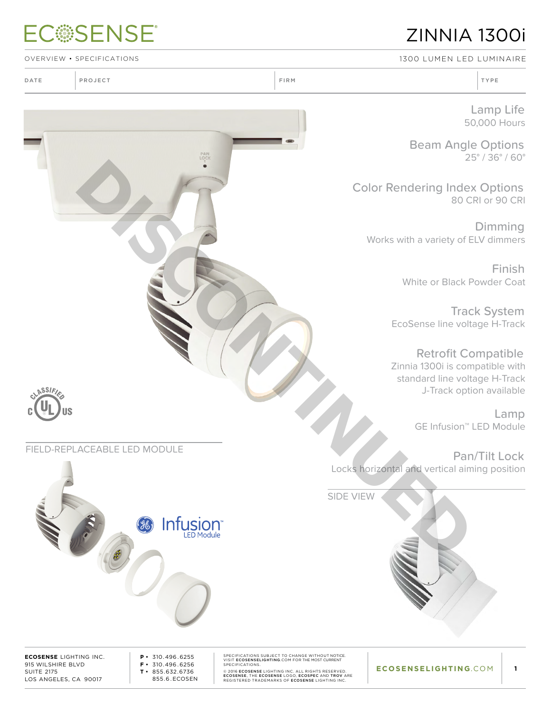## **ECSSENSE®**

## ZINNIA 1300i

OVERVIEW • SPECIFICATIONS 1300 Lumen LED Luminaire

Lamp Life

50,000 Hours Beam Angle Options

25° / 36° / 60°

Color Rendering Index Options 80 CRI or 90 CRI

Dimming Works with a variety of ELV dimmers

> Finish White or Black Powder Coat

Track System EcoSense line voltage H-Track

Retrofit Compatible Zinnia 1300i is compatible with standard line voltage H-Track J-Track option available

> Lamp GE Infusion™ LED Module

Pan/Tilt Lock Locks horizontal and vertical aiming position

SIDE VIEW

**ECOSENSE** LIGHTING INC. 915 WILSHIRE BLVD SUITE 2175 LOS ANGELES, CA 90017

**ASSIFI** 

**P •** 310.496 . 6255 **F •** 310.496 . 6256 **T •** 855.632.6736 855.6 . ECOSEN SPECIFICATIONS SUBJECT TO CHANGE WITHOUT NOTICE.<br>SPECIFICATIONS.<br>SPECIFICATIONS.<br>@ 2016 ECOSENSE LIGHTING INC. ALL RIGHTS RESERVED.<br>ECOSENSE, THE ECOSENSE LOGO, ECOSEPE AND TROV ARE<br>REGISTERED TRADEMARKS OF ECOSENSE LIGHTI

**1**



### DATE PROJECT TYPE RELATIONS IN TYPE RELATIONS IN THE RELATIONS OF THE RELATIONS OF THE RELATIONS OF THE RELATIONS OF THE RELATIONS OF THE RELATIONS OF THE RELATIONS OF THE RELATIONS OF THE RELATIONS OF THE RELATIONS OF THE